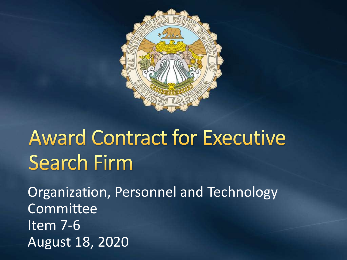

# **Award Contract for Executive Search Firm**

Organization, Personnel and Technology Committee Item 7-6 August 18, 2020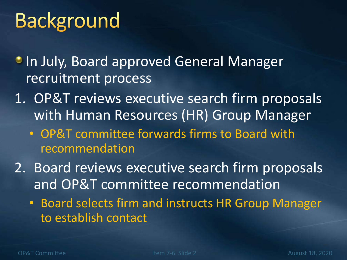# **Background**

**• In July, Board approved General Manager** recruitment process

- 1. OP&T reviews executive search firm proposals with Human Resources (HR) Group Manager
	- OP&T committee forwards firms to Board with recommendation
- 2. Board reviews executive search firm proposals and OP&T committee recommendation
	- Board selects firm and instructs HR Group Manager to establish contact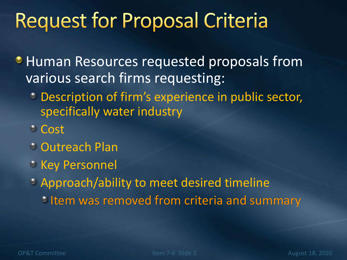#### **Request for Proposal Criteria**

- **Human Resources requested proposals from** various search firms requesting:
	- Description of firm's experience in public sector, specifically water industry
	- $\circ$  Cost
	- Outreach Plan
	- **Key Personnel**
	- Approach/ability to meet desired timeline **Item was removed from criteria and summary**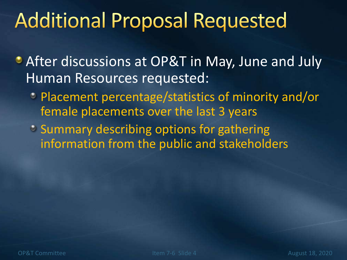### **Additional Proposal Requested**

- After discussions at OP&T in May, June and July Human Resources requested:
	- Placement percentage/statistics of minority and/or female placements over the last 3 years
	- Summary describing options for gathering information from the public and stakeholders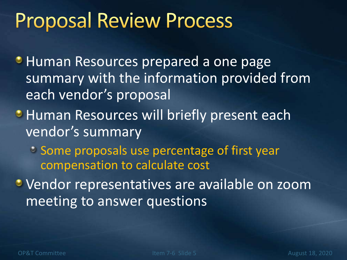#### **Proposal Review Process**

- **Human Resources prepared a one page** summary with the information provided from each vendor's proposal
- **Human Resources will briefly present each** vendor's summary
	- Some proposals use percentage of first year compensation to calculate cost
- **Vendor representatives are available on zoom** meeting to answer questions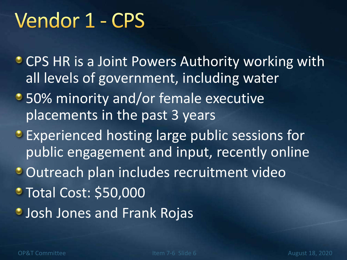## Vendor 1 - CPS

- **CPS HR is a Joint Powers Authority working with** all levels of government, including water
- 50% minority and/or female executive placements in the past 3 years
- **Experienced hosting large public sessions for** public engagement and input, recently online
- Outreach plan includes recruitment video
- **Total Cost: \$50,000**
- **Josh Jones and Frank Rojas**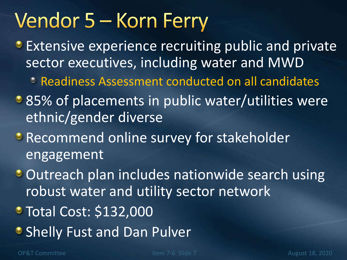## Vendor 5 – Korn Ferry

- **Extensive experience recruiting public and private** sector executives, including water and MWD
	- Readiness Assessment conducted on all candidates
- 85% of placements in public water/utilities were ethnic/gender diverse
- **Recommend online survey for stakeholder** engagement
- **Outreach plan includes nationwide search using** robust water and utility sector network
- **Total Cost: \$132,000**
- **Shelly Fust and Dan Pulver**

OP&T Committee Item 7-6 Slide 7 August 18, 2020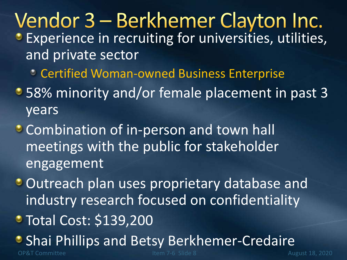#### Vendor 3 – Berkhemer Clayton Inc. **Experience in recruiting for universities, utilities,** and private sector

- Certified Woman-owned Business Enterprise
- 58% minority and/or female placement in past 3 years
- **Combination of in-person and town hall** meetings with the public for stakeholder engagement
- Outreach plan uses proprietary database and industry research focused on confidentiality
- Total Cost: \$139,200
- **Shai Phillips and Betsy Berkhemer-Credaire**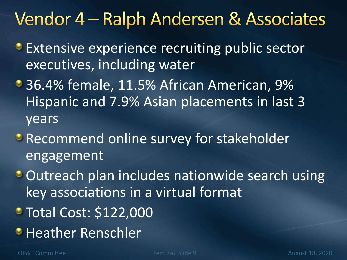#### Vendor 4 – Ralph Andersen & Associates

- **Extensive experience recruiting public sector** executives, including water
- 36.4% female, 11.5% African American, 9% Hispanic and 7.9% Asian placements in last 3 years
- **Recommend online survey for stakeholder** engagement
- **Outreach plan includes nationwide search using** key associations in a virtual format
- Total Cost: \$122,000
- **Heather Renschler**

OP&T Committee Item 7-6 Slide 9 August 18, 2020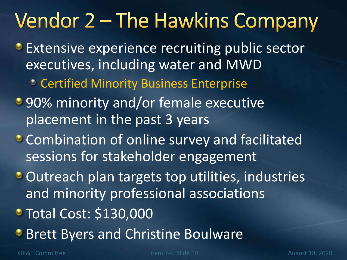### Vendor 2 – The Hawkins Company

- **Extensive experience recruiting public sector** executives, including water and MWD
	- Certified Minority Business Enterprise
- **90% minority and/or female executive** placement in the past 3 years
- **Combination of online survey and facilitated** sessions for stakeholder engagement
- Outreach plan targets top utilities, industries and minority professional associations
- Total Cost: \$130,000
- **Brett Byers and Christine Boulware**

OP&T Committee Item 7-6 Slide 10 August 18, 2020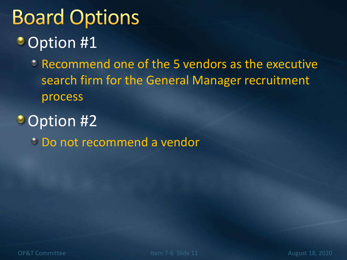#### **Board Options** • Option #1

**PRECOMMEND ONE of the 5 vendors as the executive** search firm for the General Manager recruitment process

**Option #2** Do not recommend a vendor